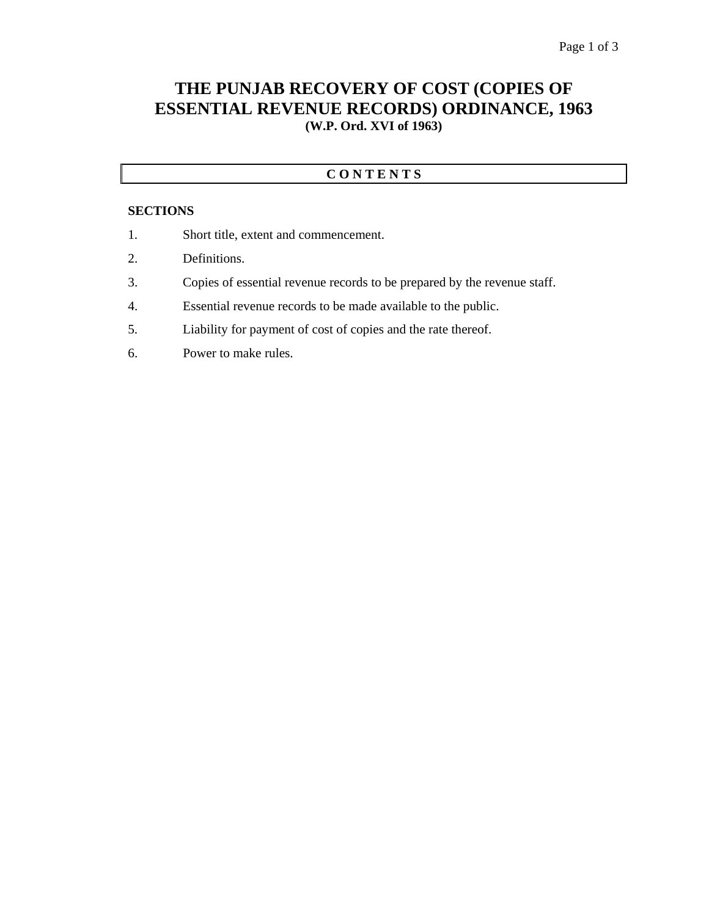## **THE PUNJAB RECOVERY OF COST (COPIES OF ESSENTIAL REVENUE RECORDS) ORDINANCE, 1963 (W.P. Ord. XVI of 1963)**

### **C O N T E N T S**

#### **SECTIONS**

- 1. Short title, extent and commencement.
- 2. Definitions.
- 3. Copies of essential revenue records to be prepared by the revenue staff.
- 4. Essential revenue records to be made available to the public.
- 5. Liability for payment of cost of copies and the rate thereof.
- 6. Power to make rules.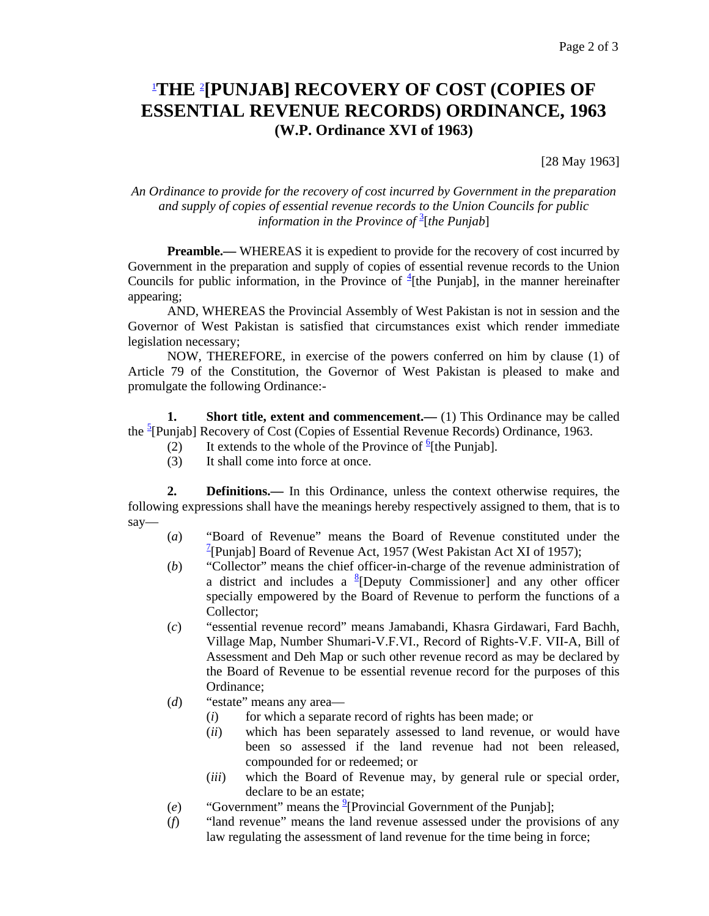# 1 **THE** <sup>2</sup> **[PUNJAB] RECOVERY OF COST (COPIES OF ESSENTIAL REVENUE RECORDS) ORDINANCE, 1963 (W.P. Ordinance XVI of 1963)**

[28 May 1963]

#### *An Ordinance to provide for the recovery of cost incurred by Government in the preparation and supply of copies of essential revenue records to the Union Councils for public information in the Province of* <sup>3</sup> [*the Punjab*]

**Preamble.—** WHEREAS it is expedient to provide for the recovery of cost incurred by Government in the preparation and supply of copies of essential revenue records to the Union Councils for public information, in the Province of  $\frac{4}{1}$  [the Punjab], in the manner hereinafter appearing;

 AND, WHEREAS the Provincial Assembly of West Pakistan is not in session and the Governor of West Pakistan is satisfied that circumstances exist which render immediate legislation necessary;

 NOW, THEREFORE, in exercise of the powers conferred on him by clause (1) of Article 79 of the Constitution, the Governor of West Pakistan is pleased to make and promulgate the following Ordinance:-

**1.** Short title, extent and commencement.— (1) This Ordinance may be called the <sup>5</sup>[Punjab] Recovery of Cost (Copies of Essential Revenue Records) Ordinance, 1963.

- (2) It extends to the whole of the Province of  $\frac{6}{5}$ [the Punjab].
	- (3) It shall come into force at once.

**2. Definitions.**— In this Ordinance, unless the context otherwise requires, the following expressions shall have the meanings hereby respectively assigned to them, that is to say—

- (*a*) "Board of Revenue" means the Board of Revenue constituted under the <sup>7</sup>[Punjab] Board of Revenue Act, 1957 (West Pakistan Act XI of 1957);
- (*b*) "Collector" means the chief officer-in-charge of the revenue administration of a district and includes a  ${}^{8}$ [Deputy Commissioner] and any other officer specially empowered by the Board of Revenue to perform the functions of a Collector;
- (*c*) "essential revenue record" means Jamabandi, Khasra Girdawari, Fard Bachh, Village Map, Number Shumari-V.F.VI., Record of Rights-V.F. VII-A, Bill of Assessment and Deh Map or such other revenue record as may be declared by the Board of Revenue to be essential revenue record for the purposes of this Ordinance;
- (*d*) "estate" means any area—
	- (*i*) for which a separate record of rights has been made; or
	- (*ii*) which has been separately assessed to land revenue, or would have been so assessed if the land revenue had not been released, compounded for or redeemed; or
	- (*iii*) which the Board of Revenue may, by general rule or special order, declare to be an estate;
- (*e*) "Government" means the  $^{9}$ [Provincial Government of the Punjab];
- (*f*) "land revenue" means the land revenue assessed under the provisions of any law regulating the assessment of land revenue for the time being in force;